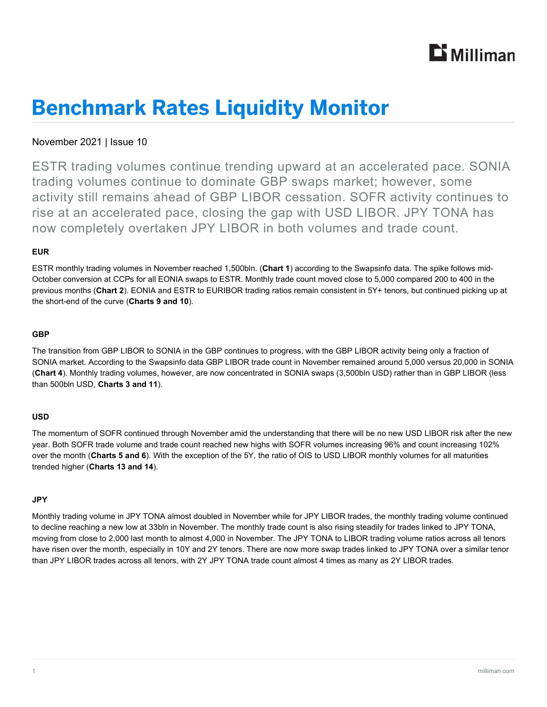

# **Benchmark Rates Liquidity Monitor**

## November 2021 | Issue 10

ESTR trading volumes continue trending upward at an accelerated pace. SONIA trading volumes continue to dominate GBP swaps market; however, some activity still remains ahead of GBP LIBOR cessation. SOFR activity continues to rise at an accelerated pace, closing the gap with USD LIBOR. JPY TONA has now completely overtaken JPY LIBOR in both volumes and trade count.

## **EUR**

ESTR monthly trading volumes in November reached 1,500bln. (**Chart 1**) according to the Swapsinfo data. The spike follows mid-October conversion at CCPs for all EONIA swaps to ESTR. Monthly trade count moved close to 5,000 compared 200 to 400 in the previous months (**Chart 2**). EONIA and ESTR to EURIBOR trading ratios remain consistent in 5Y+ tenors, but continued picking up at the short-end of the curve (**Charts 9 and 10**).

## **GBP**

The transition from GBP LIBOR to SONIA in the GBP continues to progress, with the GBP LIBOR activity being only a fraction of SONIA market. According to the Swapsinfo data GBP LIBOR trade count in November remained around 5,000 versus 20,000 in SONIA (**Chart 4**). Monthly trading volumes, however, are now concentrated in SONIA swaps (3,500bln USD) rather than in GBP LIBOR (less than 500bln USD, **Charts 3 and 11**).

## **USD**

The momentum of SOFR continued through November amid the understanding that there will be no new USD LIBOR risk after the new year. Both SOFR trade volume and trade count reached new highs with SOFR volumes increasing 96% and count increasing 102% over the month (**Charts 5 and 6**). With the exception of the 5Y, the ratio of OIS to USD LIBOR monthly volumes for all maturities trended higher (**Charts 13 and 14**).

### **JPY**

Monthly trading volume in JPY TONA almost doubled in November while for JPY LIBOR trades, the monthly trading volume continued to decline reaching a new low at 33bln in November. The monthly trade count is also rising steadily for trades linked to JPY TONA, moving from close to 2,000 last month to almost 4,000 in November. The JPY TONA to LIBOR trading volume ratios across all tenors have risen over the month, especially in 10Y and 2Y tenors. There are now more swap trades linked to JPY TONA over a similar tenor than JPY LIBOR trades across all tenors, with 2Y JPY TONA trade count almost 4 times as many as 2Y LIBOR trades.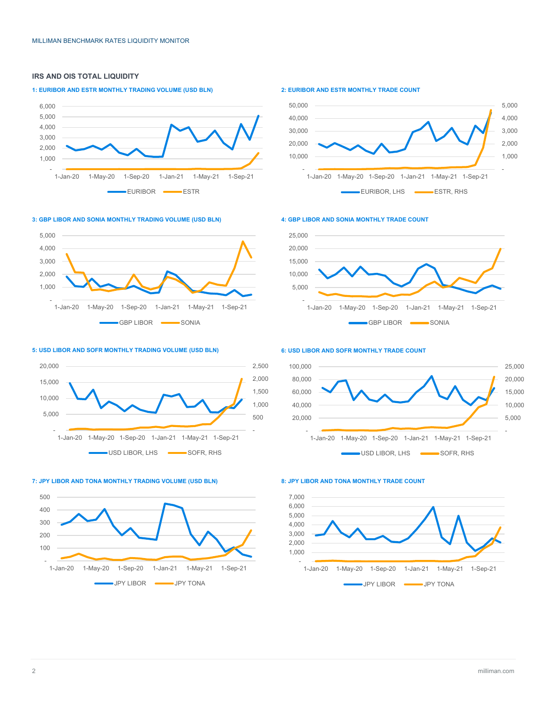## **IRS AND OIS TOTAL LIQUIDITY**

#### **1: EURIBOR AND ESTR MONTHLY TRADING VOLUME (USD BLN)**



#### **3: GBP LIBOR AND SONIA MONTHLY TRADING VOLUME (USD BLN)**



#### **5: USD LIBOR AND SOFR MONTHLY TRADING VOLUME (USD BLN)**







#### **2: EURIBOR AND ESTR MONTHLY TRADE COUNT**



#### **4: GBP LIBOR AND SONIA MONTHLY TRADE COUNT**



#### **6: USD LIBOR AND SOFR MONTHLY TRADE COUNT**



#### **8: JPY LIBOR AND TONA MONTHLY TRADE COUNT**

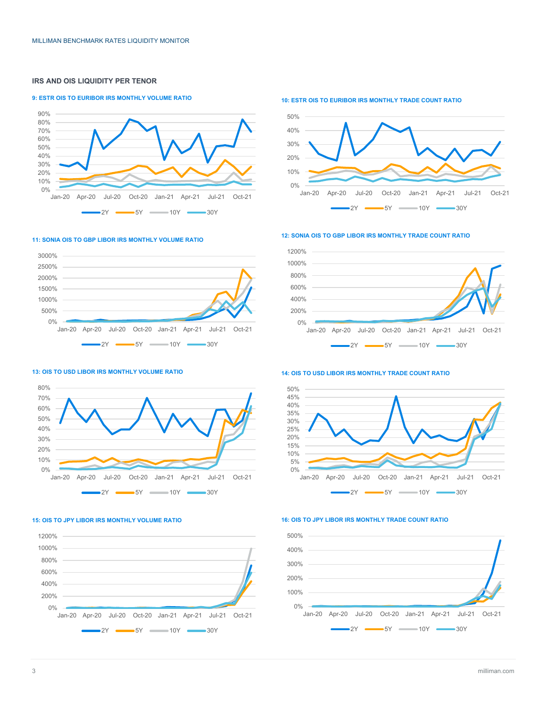#### **IRS AND OIS LIQUIDITY PER TENOR**

#### **9: ESTR OIS TO EURIBOR IRS MONTHLY VOLUME RATIO**



**11: SONIA OIS TO GBP LIBOR IRS MONTHLY VOLUME RATIO**



**10: ESTR OIS TO EURIBOR IRS MONTHLY TRADE COUNT RATIO**

**12: SONIA OIS TO GBP LIBOR IRS MONTHLY TRADE COUNT RATIO**





#### **14: OIS TO USD LIBOR IRS MONTHLY TRADE COUNT RATIO**



## **13: OIS TO USD LIBOR IRS MONTHLY VOLUME RATIO**



#### **15: OIS TO JPY LIBOR IRS MONTHLY VOLUME RATIO**



#### **16: OIS TO JPY LIBOR IRS MONTHLY TRADE COUNT RATIO**

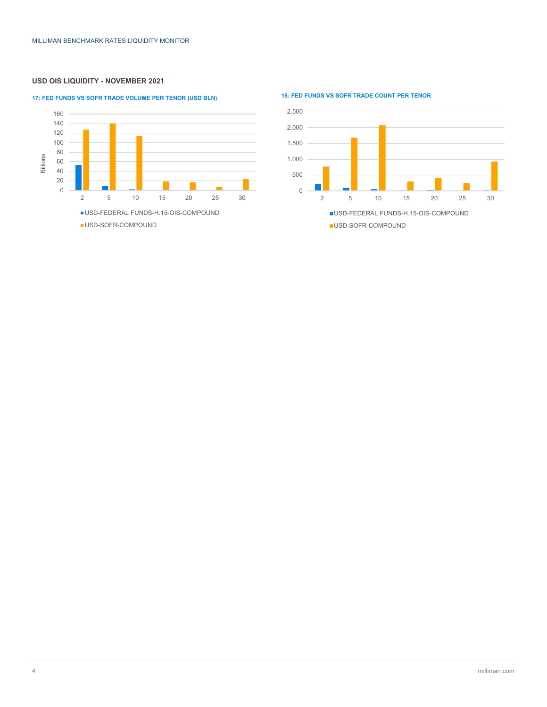### **USD OIS LIQUIDITY - NOVEMBER 2021**

## **17: FED FUNDS VS SOFR TRADE VOLUME PER TENOR (USD BLN) 18: FED FUNDS VS SOFR TRADE COUNT PER TENOR**